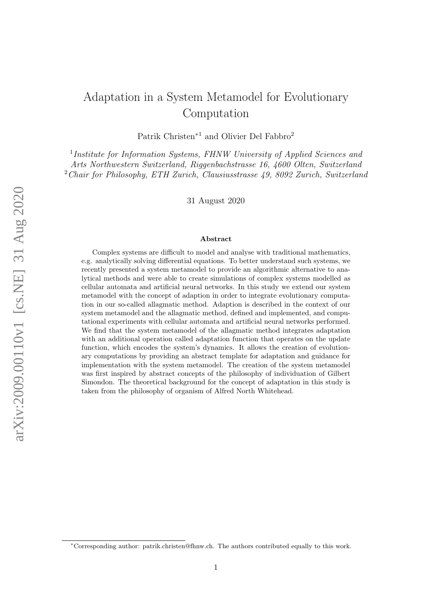# Adaptation in a System Metamodel for Evolutionary Computation

Patrik Christen<sup>∗</sup><sup>1</sup> and Olivier Del Fabbro<sup>2</sup>

<sup>1</sup>Institute for Information Systems, FHNW University of Applied Sciences and Arts Northwestern Switzerland, Riggenbachstrasse 16, 4600 Olten, Switzerland <sup>2</sup>Chair for Philosophy, ETH Zurich, Clausiusstrasse 49, 8092 Zurich, Switzerland

31 August 2020

#### Abstract

Complex systems are difficult to model and analyse with traditional mathematics, e.g. analytically solving differential equations. To better understand such systems, we recently presented a system metamodel to provide an algorithmic alternative to analytical methods and were able to create simulations of complex systems modelled as cellular automata and artificial neural networks. In this study we extend our system metamodel with the concept of adaption in order to integrate evolutionary computation in our so-called allagmatic method. Adaption is described in the context of our system metamodel and the allagmatic method, defined and implemented, and computational experiments with cellular automata and artificial neural networks performed. We find that the system metamodel of the allagmatic method integrates adaptation with an additional operation called adaptation function that operates on the update function, which encodes the system's dynamics. It allows the creation of evolutionary computations by providing an abstract template for adaptation and guidance for implementation with the system metamodel. The creation of the system metamodel was first inspired by abstract concepts of the philosophy of individuation of Gilbert Simondon. The theoretical background for the concept of adaptation in this study is taken from the philosophy of organism of Alfred North Whitehead.

<sup>∗</sup>Corresponding author: patrik.christen@fhnw.ch. The authors contributed equally to this work.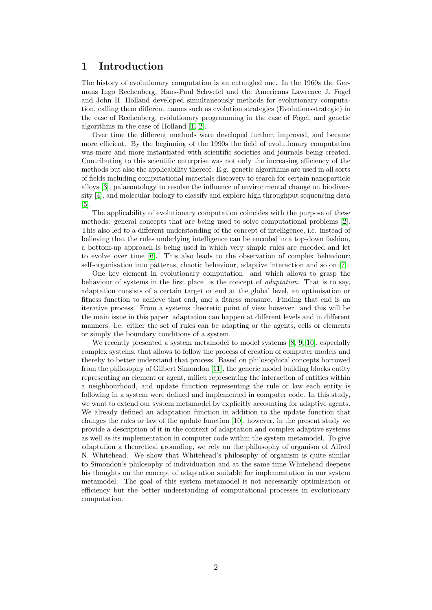# 1 Introduction

The history of evolutionary computation is an entangled one. In the 1960s the Germans Ingo Rechenberg, Hans-Paul Schwefel and the Americans Lawrence J. Fogel and John H. Holland developed simultaneously methods for evolutionary computation, calling them different names such as evolution strategies (Evolutionsstrategie) in the case of Rechenberg, evolutionary programming in the case of Fogel, and genetic algorithms in the case of Holland [\[1,](#page-8-0) [2\]](#page-8-1).

Over time the different methods were developed further, improved, and became more efficient. By the beginning of the 1990s the field of evolutionary computation was more and more instantiated with scientific societies and journals being created. Contributing to this scientific enterprise was not only the increasing efficiency of the methods but also the applicability thereof. E.g. genetic algorithms are used in all sorts of fields including computational materials discovery to search for certain nanoparticle alloys [\[3\]](#page-8-2), palaeontology to resolve the influence of environmental change on biodiversity [\[4\]](#page-8-3), and molecular biology to classify and explore high throughput sequencing data [\[5\]](#page-8-4).

The applicability of evolutionary computation coincides with the purpose of these methods: general concepts that are being used to solve computational problems [\[2\]](#page-8-1). This also led to a different understanding of the concept of intelligence, i.e. instead of believing that the rules underlying intelligence can be encoded in a top-down fashion, a bottom-up approach is being used in which very simple rules are encoded and let to evolve over time [\[6\]](#page-8-5). This also leads to the observation of complex behaviour: self-organisation into patterns, chaotic behaviour, adaptive interaction and so on [\[7\]](#page-8-6).

One key element in evolutionary computation and which allows to grasp the behaviour of systems in the first place is the concept of adaptation. That is to say, adaptation consists of a certain target or end at the global level, an optimisation or fitness function to achieve that end, and a fitness measure. Finding that end is an iterative process. From a systems theoretic point of view however and this will be the main issue in this paper adaptation can happen at different levels and in different manners: i.e. either the set of rules can be adapting or the agents, cells or elements or simply the boundary conditions of a system.

We recently presented a system metamodel to model systems [\[8,](#page-8-7) [9,](#page-8-8) [10\]](#page-8-9), especially complex systems, that allows to follow the process of creation of computer models and thereby to better understand that process. Based on philosophical concepts borrowed from the philosophy of Gilbert Simondon [\[11\]](#page-8-10), the generic model building blocks entity representing an element or agent, milieu representing the interaction of entities within a neighbourhood, and update function representing the rule or law each entity is following in a system were defined and implemented in computer code. In this study, we want to extend our system metamodel by explicitly accounting for adaptive agents. We already defined an adaptation function in addition to the update function that changes the rules or law of the update function [\[10\]](#page-8-9), however, in the present study we provide a description of it in the context of adaptation and complex adaptive systems as well as its implementation in computer code within the system metamodel. To give adaptation a theoretical grounding, we rely on the philosophy of organism of Alfred N. Whitehead. We show that Whitehead's philosophy of organism is quite similar to Simondon's philosophy of individuation and at the same time Whitehead deepens his thoughts on the concept of adaptation suitable for implementation in our system metamodel. The goal of this system metamodel is not necessarily optimisation or efficiency but the better understanding of computational processes in evolutionary computation.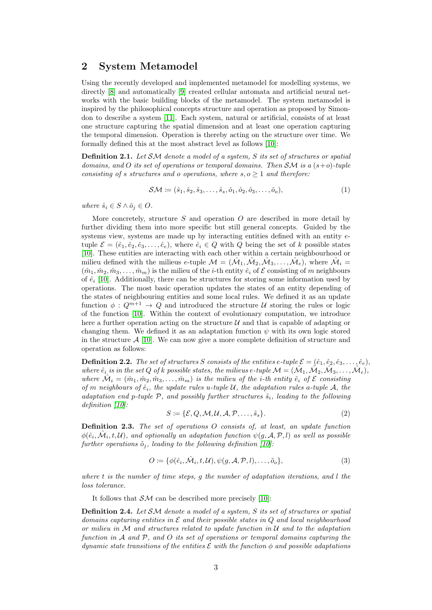### 2 System Metamodel

Using the recently developed and implemented metamodel for modelling systems, we directly [\[8\]](#page-8-7) and automatically [\[9\]](#page-8-8) created cellular automata and artificial neural networks with the basic building blocks of the metamodel. The system metamodel is inspired by the philosophical concepts structure and operation as proposed by Simondon to describe a system [\[11\]](#page-8-10). Each system, natural or artificial, consists of at least one structure capturing the spatial dimension and at least one operation capturing the temporal dimension. Operation is thereby acting on the structure over time. We formally defined this at the most abstract level as follows [\[10\]](#page-8-9):

**Definition 2.1.** Let SM denote a model of a system, S its set of structures or spatial domains, and O its set of operations or temporal domains. Then  $\mathcal{SM}$  is a  $(s+o)$ -tuple consisting of s structures and o operations, where  $s, o \geq 1$  and therefore:

$$
SM := (\hat{s}_1, \hat{s}_2, \hat{s}_3, \dots, \hat{s}_s, \hat{o}_1, \hat{o}_2, \hat{o}_3, \dots, \hat{o}_o),
$$
\n(1)

where  $\hat{s}_i \in S \wedge \hat{o}_j \in O$ .

More concretely, structure S and operation O are described in more detail by further dividing them into more specific but still general concepts. Guided by the systems view, systems are made up by interacting entities defined with an entity etuple  $\mathcal{E} = (\hat{e}_1, \hat{e}_2, \hat{e}_3, \dots, \hat{e}_e)$ , where  $\hat{e}_i \in Q$  with Q being the set of k possible states [\[10\]](#page-8-9). These entities are interacting with each other within a certain neighbourhood or milieu defined with the milieus e-tuple  $M = (\hat{M}_1, \hat{M}_2, \hat{M}_3, \dots, \hat{M}_e)$ , where  $\hat{M}_i =$  $(m_1, \hat{m}_2, \hat{m}_3, \dots, \hat{m}_m)$  is the milieu of the *i*-th entity  $\hat{e}_i$  of  $\mathcal E$  consisting of m neighbours of  $\hat{e}_i$  [\[10\]](#page-8-9). Additionally, there can be structures for storing some information used by operations. The most basic operation updates the states of an entity depending of the states of neighbouring entities and some local rules. We defined it as an update function  $\phi: Q^{m+1} \to Q$  and introduced the structure U storing the rules or logic of the function [\[10\]](#page-8-9). Within the context of evolutionary computation, we introduce here a further operation acting on the structure  $\mathcal U$  and that is capable of adapting or changing them. We defined it as an adaptation function  $\psi$  with its own logic stored in the structure  $\mathcal{A}$  [\[10\]](#page-8-9). We can now give a more complete definition of structure and operation as follows:

**Definition 2.2.** The set of structures S consists of the entities e-tuple  $\mathcal{E} = (\hat{e}_1, \hat{e}_2, \hat{e}_3, \dots, \hat{e}_e)$ , where  $\hat{e}_i$  is in the set Q of k possible states, the milieus e-tuple  $\mathcal{M} = (\hat{\mathcal{M}}_1, \hat{\mathcal{M}}_2, \hat{\mathcal{M}}_3, \dots, \hat{\mathcal{M}}_e),$ where  $\hat{\mathcal{M}}_i = (\hat{m}_1, \hat{m}_2, \hat{m}_3, \dots, \hat{m}_m)$  is the milieu of the *i*-th entity  $\hat{e}_i$  of  $\mathcal E$  consisting of m neighbours of  $\hat{e}_i$ , the update rules u-tuple U, the adaptation rules a-tuple A, the adaptation end p-tuple P, and possibly further structures  $\tilde{s}_i$ , leading to the following definition [\[10\]](#page-8-9):

$$
S \coloneqq \{ \mathcal{E}, Q, \mathcal{M}, \mathcal{U}, \mathcal{A}, \mathcal{P}, \dots, \tilde{s}_s \}. \tag{2}
$$

Definition 2.3. The set of operations O consists of, at least, an update function  $\phi(\hat{e}_i, \hat{\mathcal{M}}_i, t, \mathcal{U})$ , and optionally an adaptation function  $\psi(g, \mathcal{A}, \mathcal{P}, l)$  as well as possible further operations  $\tilde{o}_j$ , leading to the following definition [\[10\]](#page-8-9):

$$
O := \{ \phi(\hat{e}_i, \hat{\mathcal{M}}_i, t, \mathcal{U}), \psi(g, \mathcal{A}, \mathcal{P}, l), \dots, \tilde{o}_o \},\tag{3}
$$

where  $t$  is the number of time steps,  $g$  the number of adaptation iterations, and  $l$  the loss tolerance.

It follows that  $\mathcal{SM}$  can be described more precisely [\[10\]](#page-8-9):

**Definition 2.4.** Let SM denote a model of a system, S its set of structures or spatial domains capturing entities in  $\mathcal E$  and their possible states in  $Q$  and local neighbourhood or milieu in  $\mathcal M$  and structures related to update function in  $\mathcal U$  and to the adaptation function in  $A$  and  $P$ , and  $O$  its set of operations or temporal domains capturing the dynamic state transitions of the entities  $\mathcal E$  with the function  $\phi$  and possible adaptations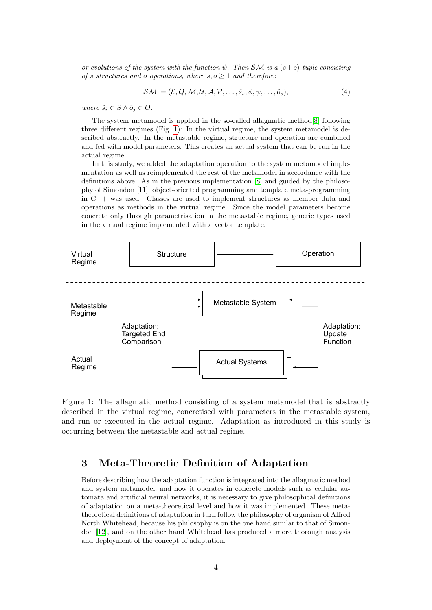or evolutions of the system with the function  $\psi$ . Then SM is a  $(s+o)$ -tuple consisting of s structures and o operations, where  $s, o \geq 1$  and therefore:

$$
\mathcal{SM} := (\mathcal{E}, Q, \mathcal{M}, \mathcal{U}, \mathcal{A}, \mathcal{P}, \dots, \hat{s}_s, \phi, \psi, \dots, \hat{o}_o),
$$
\n<sup>(4)</sup>

where  $\hat{s}_i \in S \wedge \hat{o}_i \in O$ .

The system metamodel is applied in the so-called allagmatic method[\[8\]](#page-8-7) following three different regimes (Fig. [1\)](#page-3-0): In the virtual regime, the system metamodel is described abstractly. In the metastable regime, structure and operation are combined and fed with model parameters. This creates an actual system that can be run in the actual regime.

In this study, we added the adaptation operation to the system metamodel implementation as well as reimplemented the rest of the metamodel in accordance with the definitions above. As in the previous implementation [\[8\]](#page-8-7) and guided by the philosophy of Simondon [\[11\]](#page-8-10), object-oriented programming and template meta-programming in C++ was used. Classes are used to implement structures as member data and operations as methods in the virtual regime. Since the model parameters become concrete only through parametrisation in the metastable regime, generic types used in the virtual regime implemented with a vector template.



<span id="page-3-0"></span>Figure 1: The allagmatic method consisting of a system metamodel that is abstractly described in the virtual regime, concretised with parameters in the metastable system, and run or executed in the actual regime. Adaptation as introduced in this study is occurring between the metastable and actual regime.

# 3 Meta-Theoretic Definition of Adaptation

Before describing how the adaptation function is integrated into the allagmatic method and system metamodel, and how it operates in concrete models such as cellular automata and artificial neural networks, it is necessary to give philosophical definitions of adaptation on a meta-theoretical level and how it was implemented. These metatheoretical definitions of adaptation in turn follow the philosophy of organism of Alfred North Whitehead, because his philosophy is on the one hand similar to that of Simondon [\[12\]](#page-8-11), and on the other hand Whitehead has produced a more thorough analysis and deployment of the concept of adaptation.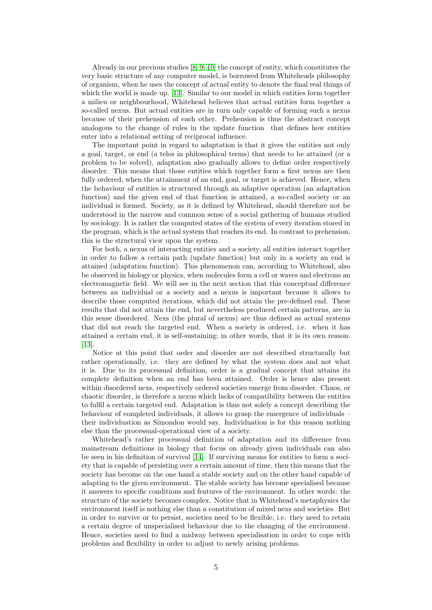Already in our previous studies [\[8,](#page-8-7) [9,](#page-8-8) [10\]](#page-8-9) the concept of entity, which constitutes the very basic structure of any computer model, is borrowed from Whiteheads philosophy of organism, when he uses the concept of actual entity to denote the final real things of which the world is made up. [\[13\]](#page-8-12). Similar to our model in which entities form together a milieu or neighbourhood, Whitehead believes that actual entities form together a so-called nexus. But actual entities are in turn only capable of forming such a nexus because of their prehension of each other. Prehension is thus the abstract concept analogous to the change of rules in the update function that defines how entities enter into a relational setting of reciprocal influence.

The important point in regard to adaptation is that it gives the entities not only a goal, target, or end (a telos in philosophical terms) that needs to be attained (or a problem to be solved), adaptation also gradually allows to define order respectively disorder. This means that those entities which together form a first nexus are then fully ordered, when the attainment of an end, goal, or target is achieved. Hence, when the behaviour of entities is structured through an adaptive operation (an adaptation function) and the given end of that function is attained, a so-called society or an individual is formed. Society, as it is defined by Whitehead, should therefore not be understood in the narrow and common sense of a social gathering of humans studied by sociology. It is rather the computed states of the system of every iteration stored in the program, which is the actual system that reaches its end. In contrast to prehension, this is the structural view upon the system.

For both, a nexus of interacting entities and a society, all entities interact together in order to follow a certain path (update function) but only in a society an end is attained (adaptation function). This phenomenon can, according to Whitehead, also be observed in biology or physics, when molecules form a cell or waves and electrons an electromagnetic field. We will see in the next section that this conceptual difference between an individual or a society and a nexus is important because it allows to describe those computed iterations, which did not attain the pre-defined end. These results that did not attain the end, but nevertheless produced certain patterns, are in this sense disordered. Nexs (the plural of nexus) are thus defined as actual systems that did not reach the targeted end. When a society is ordered, i.e. when it has attained a certain end, it is self-sustaining; in other words, that it is its own reason. [\[13\]](#page-8-12).

Notice at this point that order and disorder are not described structurally but rather operationally, i.e. they are defined by what the system does and not what it is. Due to its processual definition, order is a gradual concept that attains its complete definition when an end has been attained. Order is hence also present within disordered nexs, respectively ordered societies emerge from disorder. Chaos, or chaotic disorder, is therefore a nexus which lacks of compatibility between the entities to fulfil a certain targeted end. Adaptation is thus not solely a concept describing the behaviour of completed individuals, it allows to grasp the emergence of individuals – their individuation as Simondon would say. Individuation is for this reason nothing else than the processual-operational view of a society.

Whitehead's rather processual definition of adaptation and its difference from mainstream definitions in biology that focus on already given individuals can also be seen in his definition of survival [\[14\]](#page-8-13). If surviving means for entities to form a society that is capable of persisting over a certain amount of time, then this means that the society has become on the one hand a stable society and on the other hand capable of adapting to the given environment. The stable society has become specialised because it answers to specific conditions and features of the environment. In other words: the structure of the society becomes complex. Notice that in Whitehead's metaphysics the environment itself is nothing else than a constitution of mixed nexs and societies. But in order to survive or to persist, societies need to be flexible, i.e. they need to retain a certain degree of unspecialised behaviour due to the changing of the environment. Hence, societies need to find a midway between specialisation in order to cope with problems and flexibility in order to adjust to newly arising problems.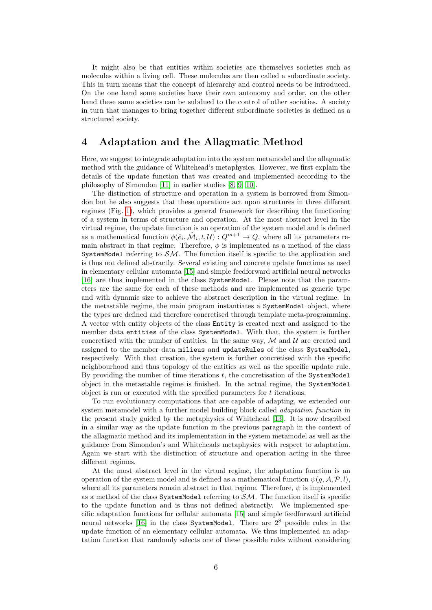It might also be that entities within societies are themselves societies such as molecules within a living cell. These molecules are then called a subordinate society. This in turn means that the concept of hierarchy and control needs to be introduced. On the one hand some societies have their own autonomy and order, on the other hand these same societies can be subdued to the control of other societies. A society in turn that manages to bring together different subordinate societies is defined as a structured society.

# 4 Adaptation and the Allagmatic Method

Here, we suggest to integrate adaptation into the system metamodel and the allagmatic method with the guidance of Whitehead's metaphysics. However, we first explain the details of the update function that was created and implemented according to the philosophy of Simondon [\[11\]](#page-8-10) in earlier studies [\[8,](#page-8-7) [9,](#page-8-8) [10\]](#page-8-9).

The distinction of structure and operation in a system is borrowed from Simondon but he also suggests that these operations act upon structures in three different regimes (Fig. [1\)](#page-3-0), which provides a general framework for describing the functioning of a system in terms of structure and operation. At the most abstract level in the virtual regime, the update function is an operation of the system model and is defined as a mathematical function  $\phi(\hat{e}_i, \hat{\mathcal{M}}_i, t, \mathcal{U}) : Q^{m+1} \to Q$ , where all its parameters remain abstract in that regime. Therefore,  $\phi$  is implemented as a method of the class SystemModel referring to  $S\mathcal{M}$ . The function itself is specific to the application and is thus not defined abstractly. Several existing and concrete update functions as used in elementary cellular automata [\[15\]](#page-8-14) and simple feedforward artificial neural networks [\[16\]](#page-8-15) are thus implemented in the class SystemModel. Please note that the parameters are the same for each of these methods and are implemented as generic type and with dynamic size to achieve the abstract description in the virtual regime. In the metastable regime, the main program instantiates a SystemModel object, where the types are defined and therefore concretised through template meta-programming. A vector with entity objects of the class Entity is created next and assigned to the member data entities of the class SystemModel. With that, the system is further concretised with the number of entities. In the same way,  $\mathcal M$  and  $\mathcal U$  are created and assigned to the member data milieus and updateRules of the class SystemModel, respectively. With that creation, the system is further concretised with the specific neighbourhood and thus topology of the entities as well as the specific update rule. By providing the number of time iterations  $t$ , the concretisation of the SystemModel object in the metastable regime is finished. In the actual regime, the SystemModel object is run or executed with the specified parameters for  $t$  iterations.

To run evolutionary computations that are capable of adapting, we extended our system metamodel with a further model building block called adaptation function in the present study guided by the metaphysics of Whitehead [\[13\]](#page-8-12). It is now described in a similar way as the update function in the previous paragraph in the context of the allagmatic method and its implementation in the system metamodel as well as the guidance from Simondon's and Whiteheads metaphysics with respect to adaptation. Again we start with the distinction of structure and operation acting in the three different regimes.

At the most abstract level in the virtual regime, the adaptation function is an operation of the system model and is defined as a mathematical function  $\psi(g, \mathcal{A}, \mathcal{P}, l)$ , where all its parameters remain abstract in that regime. Therefore,  $\psi$  is implemented as a method of the class SystemModel referring to  $S\mathcal{M}$ . The function itself is specific to the update function and is thus not defined abstractly. We implemented specific adaptation functions for cellular automata [\[15\]](#page-8-14) and simple feedforward artificial neural networks [\[16\]](#page-8-15) in the class SystemModel. There are  $2^8$  possible rules in the update function of an elementary cellular automata. We thus implemented an adaptation function that randomly selects one of these possible rules without considering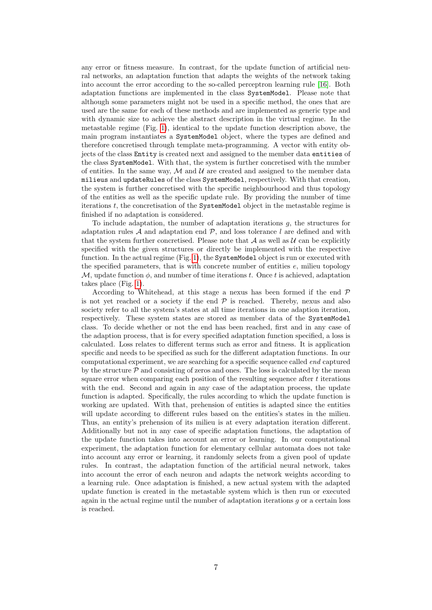any error or fitness measure. In contrast, for the update function of artificial neural networks, an adaptation function that adapts the weights of the network taking into account the error according to the so-called perceptron learning rule [\[16\]](#page-8-15). Both adaptation functions are implemented in the class SystemModel. Please note that although some parameters might not be used in a specific method, the ones that are used are the same for each of these methods and are implemented as generic type and with dynamic size to achieve the abstract description in the virtual regime. In the metastable regime (Fig. [1\)](#page-3-0), identical to the update function description above, the main program instantiates a SystemModel object, where the types are defined and therefore concretised through template meta-programming. A vector with entity objects of the class Entity is created next and assigned to the member data entities of the class SystemModel. With that, the system is further concretised with the number of entities. In the same way,  $\mathcal M$  and  $\mathcal U$  are created and assigned to the member data milieus and updateRules of the class SystemModel, respectively. With that creation, the system is further concretised with the specific neighbourhood and thus topology of the entities as well as the specific update rule. By providing the number of time iterations t, the concretisation of the SystemModel object in the metastable regime is finished if no adaptation is considered.

To include adaptation, the number of adaptation iterations g, the structures for adaptation rules  $A$  and adaptation end  $P$ , and loss tolerance l are defined and with that the system further concretised. Please note that  $A$  as well as  $U$  can be explicitly specified with the given structures or directly be implemented with the respective function. In the actual regime (Fig. [1\)](#page-3-0), the SystemModel object is run or executed with the specified parameters, that is with concrete number of entities e, milieu topology M, update function  $\phi$ , and number of time iterations t. Once t is achieved, adaptation takes place (Fig. [1\)](#page-3-0).

According to Whitehead, at this stage a nexus has been formed if the end  $\mathcal P$ is not yet reached or a society if the end  $P$  is reached. Thereby, nexus and also society refer to all the system's states at all time iterations in one adaption iteration, respectively. These system states are stored as member data of the SystemModel class. To decide whether or not the end has been reached, first and in any case of the adaption process, that is for every specified adaptation function specified, a loss is calculated. Loss relates to different terms such as error and fitness. It is application specific and needs to be specified as such for the different adaptation functions. In our computational experiment, we are searching for a specific sequence called *end* captured by the structure  $P$  and consisting of zeros and ones. The loss is calculated by the mean square error when comparing each position of the resulting sequence after  $t$  iterations with the end. Second and again in any case of the adaptation process, the update function is adapted. Specifically, the rules according to which the update function is working are updated. With that, prehension of entities is adapted since the entities will update according to different rules based on the entities's states in the milieu. Thus, an entity's prehension of its milieu is at every adaptation iteration different. Additionally but not in any case of specific adaptation functions, the adaptation of the update function takes into account an error or learning. In our computational experiment, the adaptation function for elementary cellular automata does not take into account any error or learning, it randomly selects from a given pool of update rules. In contrast, the adaptation function of the artificial neural network, takes into account the error of each neuron and adapts the network weights according to a learning rule. Once adaptation is finished, a new actual system with the adapted update function is created in the metastable system which is then run or executed again in the actual regime until the number of adaptation iterations  $q$  or a certain loss is reached.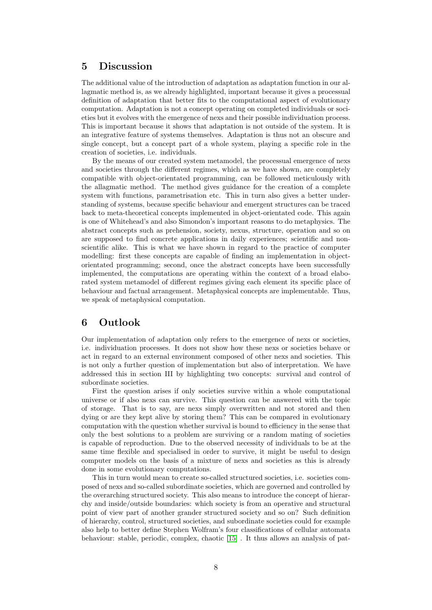### 5 Discussion

The additional value of the introduction of adaptation as adaptation function in our allagmatic method is, as we already highlighted, important because it gives a processual definition of adaptation that better fits to the computational aspect of evolutionary computation. Adaptation is not a concept operating on completed individuals or societies but it evolves with the emergence of nexs and their possible individuation process. This is important because it shows that adaptation is not outside of the system. It is an integrative feature of systems themselves. Adaptation is thus not an obscure and single concept, but a concept part of a whole system, playing a specific role in the creation of societies, i.e. individuals.

By the means of our created system metamodel, the processual emergence of nexs and societies through the different regimes, which as we have shown, are completely compatible with object-orientated programming, can be followed meticulously with the allagmatic method. The method gives guidance for the creation of a complete system with functions, parametrisation etc. This in turn also gives a better understanding of systems, because specific behaviour and emergent structures can be traced back to meta-theoretical concepts implemented in object-orientated code. This again is one of Whitehead's and also Simondon's important reasons to do metaphysics. The abstract concepts such as prehension, society, nexus, structure, operation and so on are supposed to find concrete applications in daily experiences; scientific and nonscientific alike. This is what we have shown in regard to the practice of computer modelling: first these concepts are capable of finding an implementation in objectorientated programming; second, once the abstract concepts have been successfully implemented, the computations are operating within the context of a broad elaborated system metamodel of different regimes giving each element its specific place of behaviour and factual arrangement. Metaphysical concepts are implementable. Thus, we speak of metaphysical computation.

# 6 Outlook

Our implementation of adaptation only refers to the emergence of nexs or societies, i.e. individuation processes. It does not show how these nexs or societies behave or act in regard to an external environment composed of other nexs and societies. This is not only a further question of implementation but also of interpretation. We have addressed this in section III by highlighting two concepts: survival and control of subordinate societies.

First the question arises if only societies survive within a whole computational universe or if also nexs can survive. This question can be answered with the topic of storage. That is to say, are nexs simply overwritten and not stored and then dying or are they kept alive by storing them? This can be compared in evolutionary computation with the question whether survival is bound to efficiency in the sense that only the best solutions to a problem are surviving or a random mating of societies is capable of reproduction. Due to the observed necessity of individuals to be at the same time flexible and specialised in order to survive, it might be useful to design computer models on the basis of a mixture of nexs and societies as this is already done in some evolutionary computations.

This in turn would mean to create so-called structured societies, i.e. societies composed of nexs and so-called subordinate societies, which are governed and controlled by the overarching structured society. This also means to introduce the concept of hierarchy and inside/outside boundaries: which society is from an operative and structural point of view part of another grander structured society and so on? Such definition of hierarchy, control, structured societies, and subordinate societies could for example also help to better define Stephen Wolfram's four classifications of cellular automata behaviour: stable, periodic, complex, chaotic [\[15\]](#page-8-14) . It thus allows an analysis of pat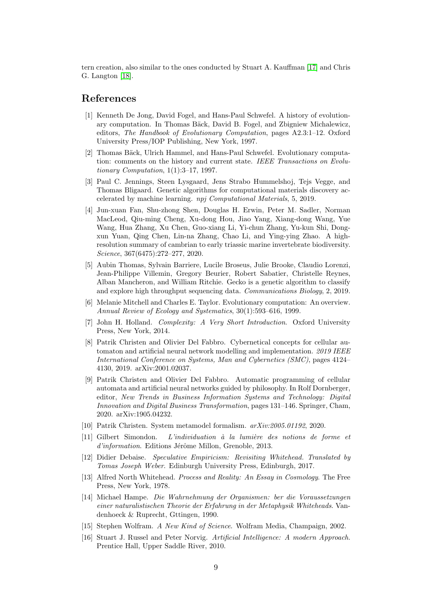tern creation, also similar to the ones conducted by Stuart A. Kauffman [\[17\]](#page-9-0) and Chris G. Langton [\[18\]](#page-9-1).

# <span id="page-8-0"></span>References

- [1] Kenneth De Jong, David Fogel, and Hans-Paul Schwefel. A history of evolutionary computation. In Thomas Bäck, David B. Fogel, and Zbigniew Michalewicz, editors, The Handbook of Evolutionary Computation, pages A2.3:1–12. Oxford University Press/IOP Publishing, New York, 1997.
- <span id="page-8-1"></span>[2] Thomas Bäck, Ulrich Hammel, and Hans-Paul Schwefel. Evolutionary computation: comments on the history and current state. IEEE Transactions on Evolutionary Computation, 1(1):3–17, 1997.
- <span id="page-8-2"></span>[3] Paul C. Jennings, Steen Lysgaard, Jens Strabo Hummelshoj, Tejs Vegge, and Thomas Bligaard. Genetic algorithms for computational materials discovery accelerated by machine learning. npj Computational Materials, 5, 2019.
- <span id="page-8-3"></span>[4] Jun-xuan Fan, Shu-zhong Shen, Douglas H. Erwin, Peter M. Sadler, Norman MacLeod, Qiu-ming Cheng, Xu-dong Hou, Jiao Yang, Xiang-dong Wang, Yue Wang, Hua Zhang, Xu Chen, Guo-xiang Li, Yi-chun Zhang, Yu-kun Shi, Dongxun Yuan, Qing Chen, Lin-na Zhang, Chao Li, and Ying-ying Zhao. A highresolution summary of cambrian to early triassic marine invertebrate biodiversity. Science, 367(6475):272–277, 2020.
- <span id="page-8-4"></span>[5] Aubin Thomas, Sylvain Barriere, Lucile Broseus, Julie Brooke, Claudio Lorenzi, Jean-Philippe Villemin, Gregory Beurier, Robert Sabatier, Christelle Reynes, Alban Mancheron, and William Ritchie. Gecko is a genetic algorithm to classify and explore high throughput sequencing data. Communications Biology, 2, 2019.
- <span id="page-8-5"></span>[6] Melanie Mitchell and Charles E. Taylor. Evolutionary computation: An overview. Annual Review of Ecology and Systematics, 30(1):593–616, 1999.
- <span id="page-8-6"></span>[7] John H. Holland. Complexity: A Very Short Introduction. Oxford University Press, New York, 2014.
- <span id="page-8-7"></span>[8] Patrik Christen and Olivier Del Fabbro. Cybernetical concepts for cellular automaton and artificial neural network modelling and implementation. 2019 IEEE International Conference on Systems, Man and Cybernetics (SMC), pages 4124– 4130, 2019. arXiv:2001.02037.
- <span id="page-8-8"></span>[9] Patrik Christen and Olivier Del Fabbro. Automatic programming of cellular automata and artificial neural networks guided by philosophy. In Rolf Dornberger, editor, New Trends in Business Information Systems and Technology: Digital Innovation and Digital Business Transformation, pages 131–146. Springer, Cham, 2020. arXiv:1905.04232.
- <span id="page-8-9"></span>[10] Patrik Christen. System metamodel formalism. arXiv:2005.01192, 2020.
- <span id="page-8-10"></span> $[11]$  Gilbert Simondon. L'individuation à la lumière des notions de forme et  $d'information.$  Editions Jérôme Millon, Grenoble, 2013.
- <span id="page-8-11"></span>[12] Didier Debaise. Speculative Empiricism: Revisiting Whitehead. Translated by Tomas Joseph Weber. Edinburgh University Press, Edinburgh, 2017.
- <span id="page-8-12"></span>[13] Alfred North Whitehead. Process and Reality: An Essay in Cosmology. The Free Press, New York, 1978.
- <span id="page-8-13"></span>[14] Michael Hampe. Die Wahrnehmung der Organismen: ber die Voraussetzungen einer naturalistischen Theorie der Erfahrung in der Metaphysik Whiteheads. Vandenhoeck & Ruprecht, Gttingen, 1990.
- <span id="page-8-14"></span>[15] Stephen Wolfram. A New Kind of Science. Wolfram Media, Champaign, 2002.
- <span id="page-8-15"></span>[16] Stuart J. Russel and Peter Norvig. Artificial Intelligence: A modern Approach. Prentice Hall, Upper Saddle River, 2010.